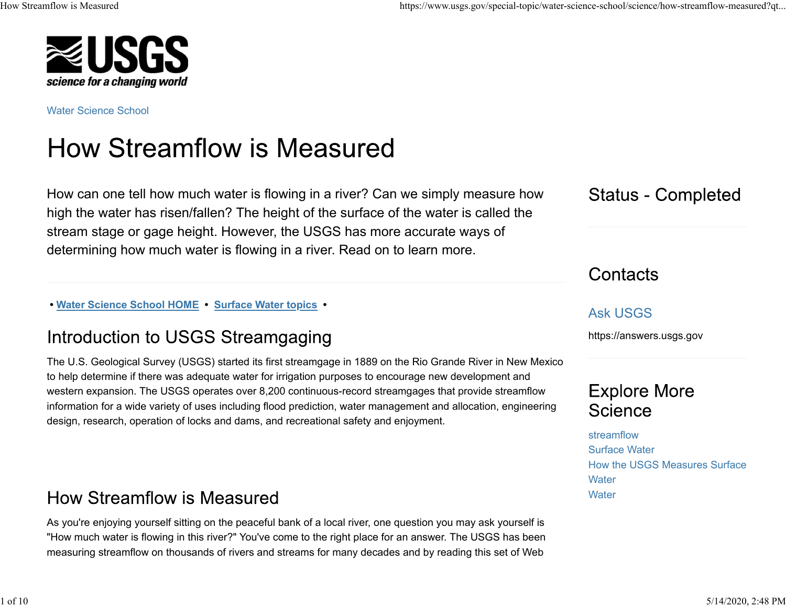

Water Science School

# **How Streamflow is Measured**

How can one tell how much water is flowing in a river? Can we simply measure how high the water has risen/fallen? The height of the surface of the water is called the stream stage or gage height. However, the USGS has more accurate ways of determining how much water is flowing in a river. Read on to learn more.

 **• Water Science School HOME • Surface Water topics •** 

### Introduction to USGS Streamgaging

The U.S. Geological Survey (USGS) started its first streamgage in 1889 on the Rio Grande River in New Mexico to help determine if there was adequate water for irrigation purposes to encourage new development and western expansion. The USGS operates over 8,200 continuous-record streamgages that provide streamflow information for a wide variety of uses including flood prediction, water management and allocation, engineering design, research, operation of locks and dams, and recreational safety and enjoyment.

### **How Streamflow is Measured**

As you're enjoying yourself sitting on the peaceful bank of a local river, one question you may ask yourself is "How much water is flowing in this river?" You've come to the right place for an answer. The USGS has been measuring streamflow on thousands of rivers and streams for many decades and by reading this set of Web

How Streamflow is Measured https://www.usgs.gov/special-topic/water-science-school/science/how-streamflow-measured?qt...

**Status - Completed** 

Contacts

### Ask USGS

https://answers.usgs.gov

### **Explore More** Science

streamflowSurface WaterHow the USGS Measures Surface**Water Water**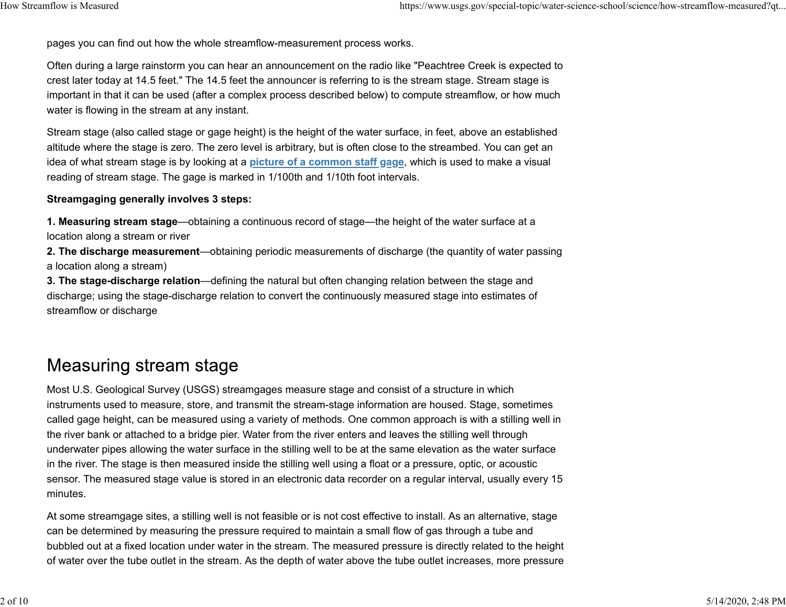pages you can find out how the whole streamflow-measurement process works.

Often during a large rainstorm you can hear an announcement on the radio like "Peachtree Creek is expected to crest later today at 14.5 feet." The 14.5 feet the announcer is referring to is the stream stage. Stream stage is important in that it can be used (after a complex process described below) to compute streamflow, or how much water is flowing in the stream at any instant.

Stream stage (also called stage or gage height) is the height of the water surface, in feet, above an established altitude where the stage is zero. The zero level is arbitrary, but is often close to the streambed. You can get an idea of what stream stage is by looking at a **picture of a common staff gage**, which is used to make a visual reading of stream stage. The gage is marked in 1/100th and 1/10th foot intervals.

#### **Streamgaging generally involves 3 steps:**

**1. Measuring stream stage**—obtaining a continuous record of stage—the height of the water surface at a location along a stream or river

**2. The discharge measurement**—obtaining periodic measurements of discharge (the quantity of water passing a location along a stream)

**3. The stage-discharge relation**—defining the natural but often changing relation between the stage and discharge; using the stage-discharge relation to convert the continuously measured stage into estimates of streamflow or discharge

### **Measuring stream stage**

Most U.S. Geological Survey (USGS) streamgages measure stage and consist of a structure in which instruments used to measure, store, and transmit the stream-stage information are housed. Stage, sometimes called gage height, can be measured using a variety of methods. One common approach is with a stilling well in the river bank or attached to a bridge pier. Water from the river enters and leaves the stilling well through underwater pipes allowing the water surface in the stilling well to be at the same elevation as the water surface in the river. The stage is then measured inside the stilling well using a float or a pressure, optic, or acoustic sensor. The measured stage value is stored in an electronic data recorder on a regular interval, usually every 15 minutes.

At some streamgage sites, a stilling well is not feasible or is not cost effective to install. As an alternative, stage can be determined by measuring the pressure required to maintain a small flow of gas through a tube and bubbled out at a fixed location under water in the stream. The measured pressure is directly related to the height of water over the tube outlet in the stream. As the depth of water above the tube outlet increases, more pressure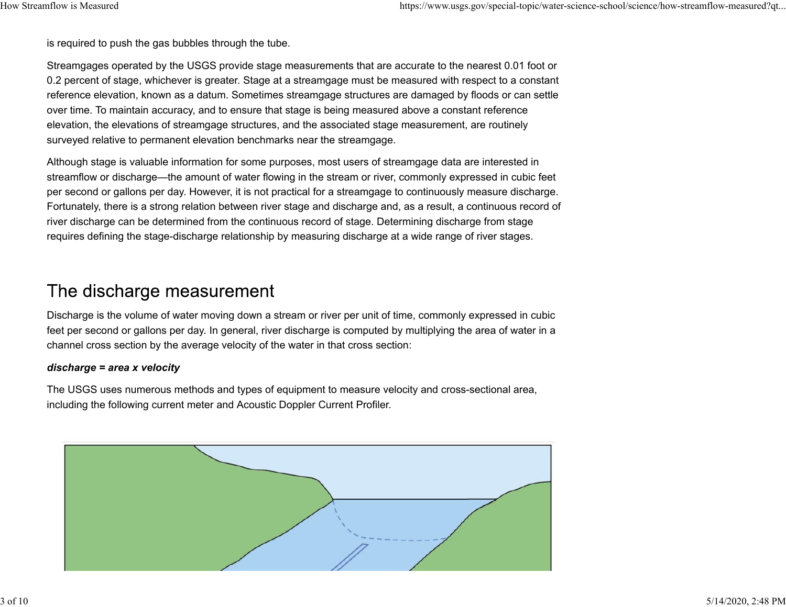is required to push the gas bubbles through the tube.

Streamgages operated by the USGS provide stage measurements that are accurate to the nearest 0.01 foot or 0.2 percent of stage, whichever is greater. Stage at a streamgage must be measured with respect to a constant reference elevation, known as a datum. Sometimes streamgage structures are damaged by floods or can settle over time. To maintain accuracy, and to ensure that stage is being measured above a constant reference elevation, the elevations of streamgage structures, and the associated stage measurement, are routinely surveyed relative to permanent elevation benchmarks near the streamgage.

Although stage is valuable information for some purposes, most users of streamgage data are interested in streamflow or discharge—the amount of water flowing in the stream or river, commonly expressed in cubic feet per second or gallons per day. However, it is not practical for a streamgage to continuously measure discharge. Fortunately, there is a strong relation between river stage and discharge and, as a result, a continuous record of river discharge can be determined from the continuous record of stage. Determining discharge from stage requires defining the stage-discharge relationship by measuring discharge at a wide range of river stages.

### The discharge measurement

Discharge is the volume of water moving down a stream or river per unit of time, commonly expressed in cubic feet per second or gallons per day. In general, river discharge is computed by multiplying the area of water in a channel cross section by the average velocity of the water in that cross section:

#### *discharge = area x velocity*

The USGS uses numerous methods and types of equipment to measure velocity and cross-sectional area, including the following current meter and Acoustic Doppler Current Profiler.

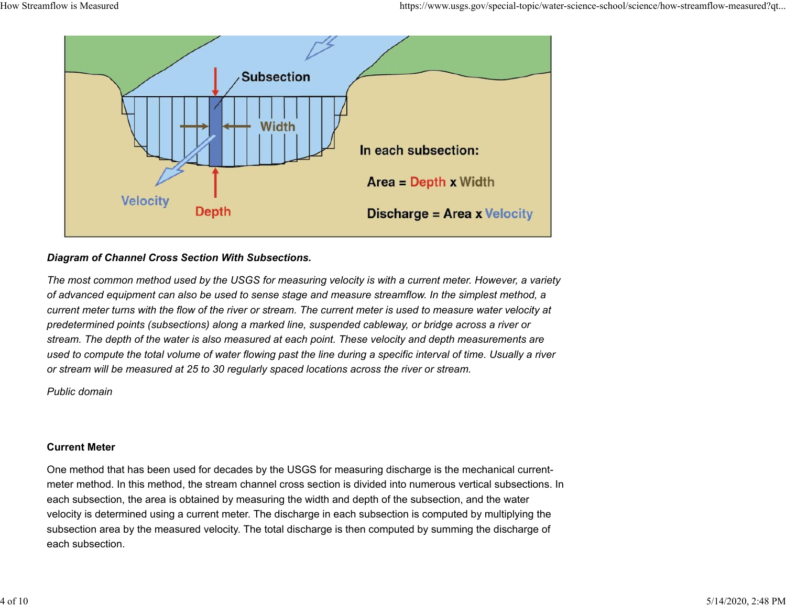

#### *Diagram of Channel Cross Section With Subsections.*

*The most common method used by the USGS for measuring velocity is with a current meter. However, a variety of advanced equipment can also be used to sense stage and measure streamflow. In the simplest method, a current meter turns with the flow of the river or stream. The current meter is used to measure water velocity at predetermined points (subsections) along a marked line, suspended cableway, or bridge across a river or stream. The depth of the water is also measured at each point. These velocity and depth measurements are used to compute the total volume of water flowing past the line during a specific interval of time. Usually a river or stream will be measured at 25 to 30 regularly spaced locations across the river or stream.*

*Public domain*

#### **Current Meter**

One method that has been used for decades by the USGS for measuring discharge is the mechanical currentmeter method. In this method, the stream channel cross section is divided into numerous vertical subsections. In each subsection, the area is obtained by measuring the width and depth of the subsection, and the water velocity is determined using a current meter. The discharge in each subsection is computed by multiplying the subsection area by the measured velocity. The total discharge is then computed by summing the discharge of each subsection.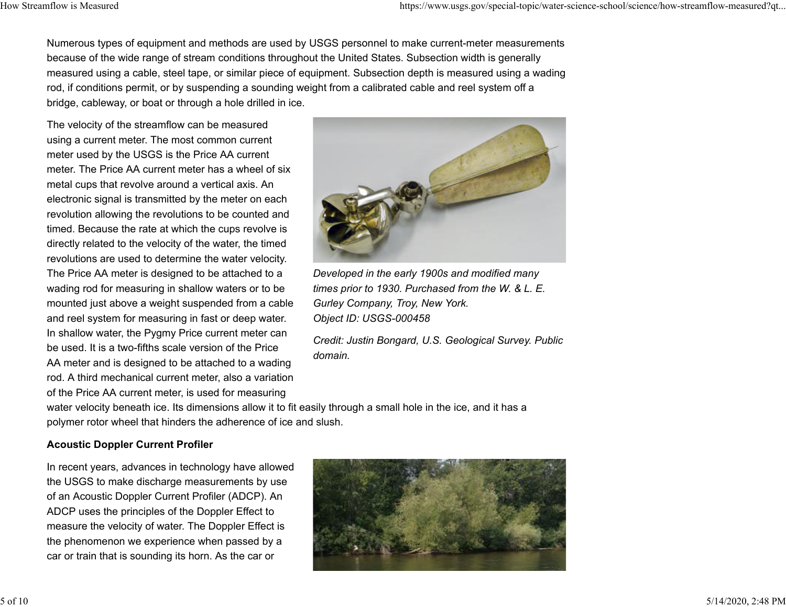Numerous types of equipment and methods are used by USGS personnel to make current-meter measurements because of the wide range of stream conditions throughout the United States. Subsection width is generally measured using a cable, steel tape, or similar piece of equipment. Subsection depth is measured using a wading rod, if conditions permit, or by suspending a sounding weight from a calibrated cable and reel system off a bridge, cableway, or boat or through a hole drilled in ice.

The velocity of the streamflow can be measured using a current meter. The most common current meter used by the USGS is the Price AA current meter. The Price AA current meter has a wheel of six metal cups that revolve around a vertical axis. An electronic signal is transmitted by the meter on each revolution allowing the revolutions to be counted and timed. Because the rate at which the cups revolve is directly related to the velocity of the water, the timed revolutions are used to determine the water velocity. The Price AA meter is designed to be attached to a wading rod for measuring in shallow waters or to be mounted just above a weight suspended from a cable and reel system for measuring in fast or deep water. In shallow water, the Pygmy Price current meter can be used. It is a two-fifths scale version of the Price AA meter and is designed to be attached to a wading rod. A third mechanical current meter, also a variation of the Price AA current meter, is used for measuring



*Developed in the early 1900s and modified many times prior to 1930. Purchased from the W. & L. E. Gurley Company, Troy, New York. Object ID: USGS-000458*

*Credit: Justin Bongard, U.S. Geological Survey. Public domain.*

water velocity beneath ice. Its dimensions allow it to fit easily through a small hole in the ice, and it has a polymer rotor wheel that hinders the adherence of ice and slush.

#### **Acoustic Doppler Current Profiler**

In recent years, advances in technology have allowed the USGS to make discharge measurements by use of an Acoustic Doppler Current Profiler (ADCP). An ADCP uses the principles of the Doppler Effect to measure the velocity of water. The Doppler Effect is the phenomenon we experience when passed by a car or train that is sounding its horn. As the car or

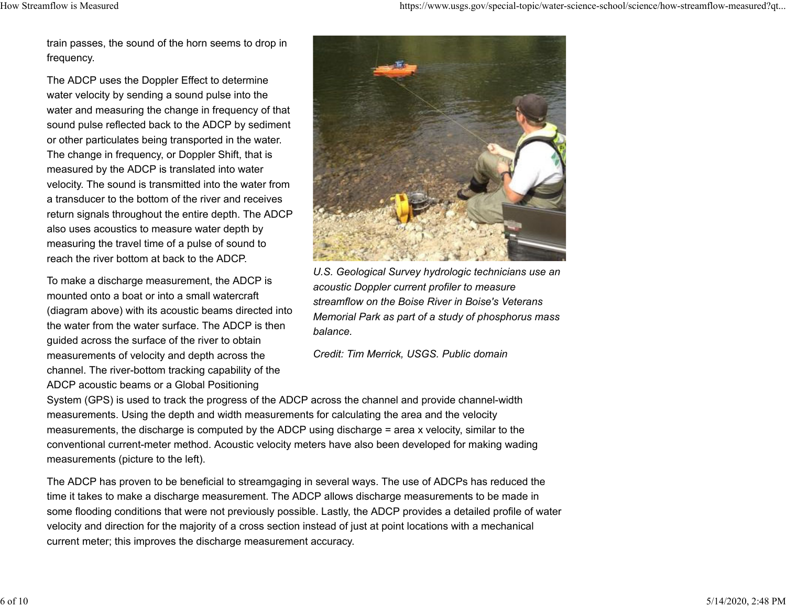train passes, the sound of the horn seems to drop in frequency.

The ADCP uses the Doppler Effect to determine water velocity by sending a sound pulse into the water and measuring the change in frequency of that sound pulse reflected back to the ADCP by sediment or other particulates being transported in the water. The change in frequency, or Doppler Shift, that is measured by the ADCP is translated into water velocity. The sound is transmitted into the water from a transducer to the bottom of the river and receivesreturn signals throughout the entire depth. The ADCP also uses acoustics to measure water depth by measuring the travel time of a pulse of sound to reach the river bottom at back to the ADCP.

To make a discharge measurement, the ADCP is mounted onto a boat or into a small watercraft(diagram above) with its acoustic beams directed into the water from the water surface. The ADCP is then guided across the surface of the river to obtain measurements of velocity and depth across the channel. The river-bottom tracking capability of the ADCP acoustic beams or a Global Positioning



*U.S. Geological Survey hydrologic technicians use an acoustic Doppler current profiler to measure streamflow on the Boise River in Boise's Veterans Memorial Park as part of a study of phosphorus mass balance.*

*Credit: Tim Merrick, USGS. Public domain*

System (GPS) is used to track the progress of the ADCP across the channel and provide channel-width measurements. Using the depth and width measurements for calculating the area and the velocity measurements, the discharge is computed by the ADCP using discharge = area x velocity, similar to the conventional current-meter method. Acoustic velocity meters have also been developed for making wading measurements (picture to the left).

The ADCP has proven to be beneficial to streamgaging in several ways. The use of ADCPs has reduced the time it takes to make a discharge measurement. The ADCP allows discharge measurements to be made in some flooding conditions that were not previously possible. Lastly, the ADCP provides a detailed profile of water velocity and direction for the majority of a cross section instead of just at point locations with a mechanical current meter; this improves the discharge measurement accuracy.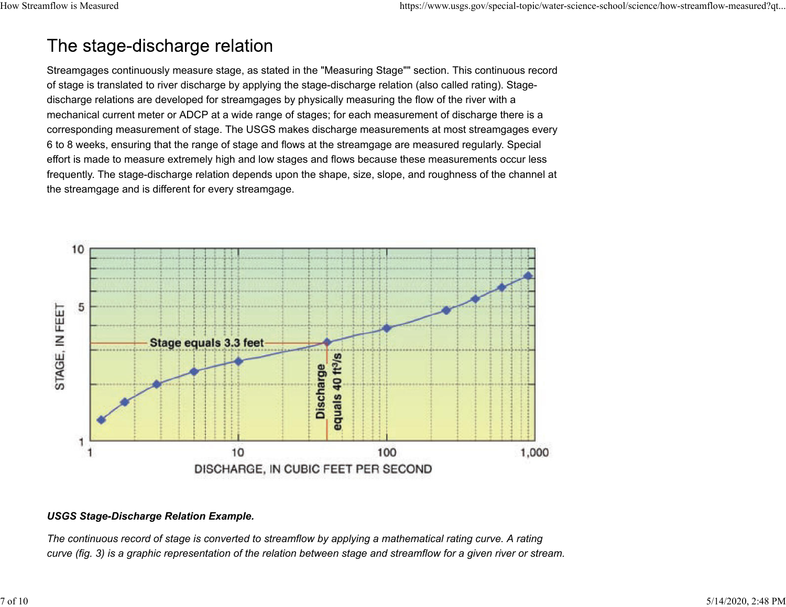# The stage-discharge relation

Streamgages continuously measure stage, as stated in the "Measuring Stage"" section. This continuous record of stage is translated to river discharge by applying the stage-discharge relation (also called rating). Stagedischarge relations are developed for streamgages by physically measuring the flow of the river with a mechanical current meter or ADCP at a wide range of stages; for each measurement of discharge there is a corresponding measurement of stage. The USGS makes discharge measurements at most streamgages every 6 to 8 weeks, ensuring that the range of stage and flows at the streamgage are measured regularly. Special effort is made to measure extremely high and low stages and flows because these measurements occur less frequently. The stage-discharge relation depends upon the shape, size, slope, and roughness of the channel at the streamgage and is different for every streamgage.



#### *USGS Stage-Discharge Relation Example.*

*The continuous record of stage is converted to streamflow by applying a mathematical rating curve. A rating curve (fig. 3) is a graphic representation of the relation between stage and streamflow for a given river or stream.*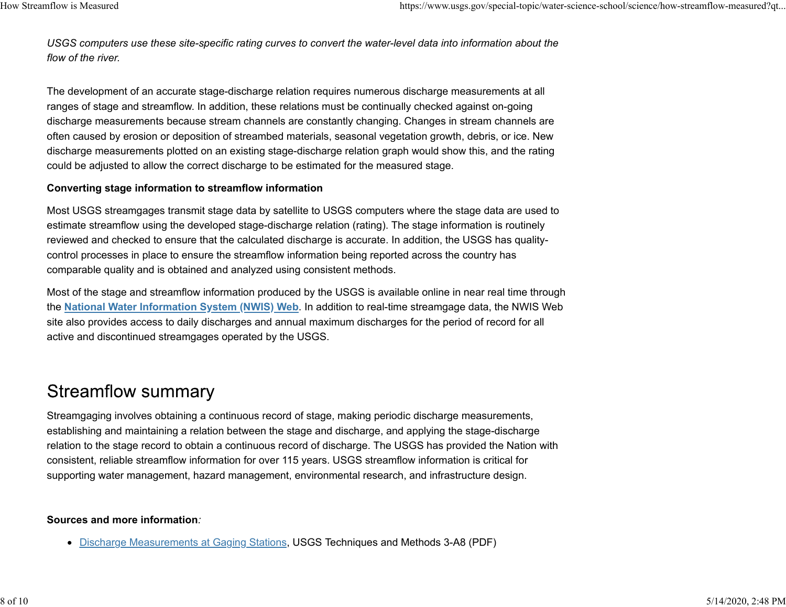*USGS computers use these site-specific rating curves to convert the water-level data into information about the flow of the river.*

The development of an accurate stage-discharge relation requires numerous discharge measurements at all ranges of stage and streamflow. In addition, these relations must be continually checked against on-going discharge measurements because stream channels are constantly changing. Changes in stream channels are often caused by erosion or deposition of streambed materials, seasonal vegetation growth, debris, or ice. New discharge measurements plotted on an existing stage-discharge relation graph would show this, and the rating could be adjusted to allow the correct discharge to be estimated for the measured stage.

#### **Converting stage information to streamflow information**

Most USGS streamgages transmit stage data by satellite to USGS computers where the stage data are used to estimate streamflow using the developed stage-discharge relation (rating). The stage information is routinely reviewed and checked to ensure that the calculated discharge is accurate. In addition, the USGS has qualitycontrol processes in place to ensure the streamflow information being reported across the country has comparable quality and is obtained and analyzed using consistent methods.

Most of the stage and streamflow information produced by the USGS is available online in near real time through the **National Water Information System (NWIS) Web**. In addition to real-time streamgage data, the NWIS Web site also provides access to daily discharges and annual maximum discharges for the period of record for all active and discontinued streamgages operated by the USGS.

## **Streamflow summary**

Streamgaging involves obtaining a continuous record of stage, making periodic discharge measurements, establishing and maintaining a relation between the stage and discharge, and applying the stage-discharge relation to the stage record to obtain a continuous record of discharge. The USGS has provided the Nation with consistent, reliable streamflow information for over 115 years. USGS streamflow information is critical for supporting water management, hazard management, environmental research, and infrastructure design.

#### **Sources and more information***:*

Discharge Measurements at Gaging Stations, USGS Techniques and Methods 3-A8 (PDF)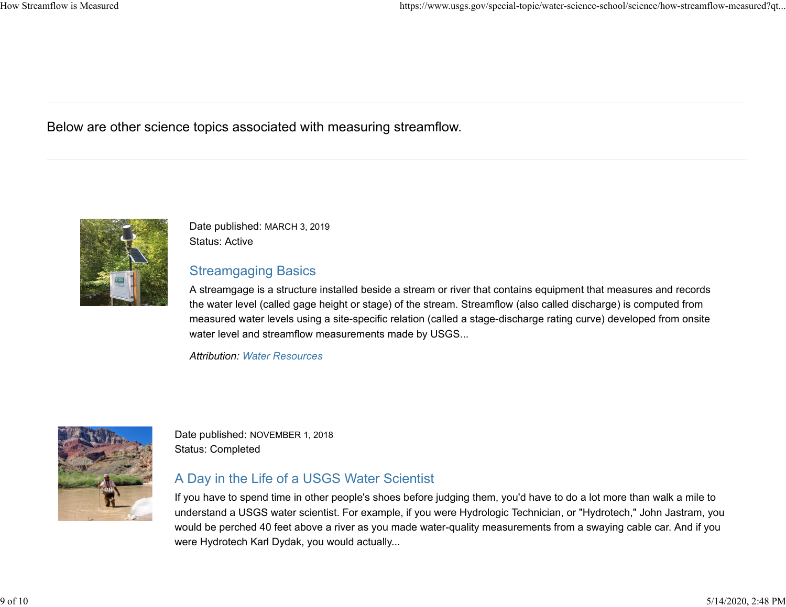Below are other science topics associated with measuring streamflow.



Date published: MARCH 3, 2019 Status: Active

#### Streamgaging Basics

A streamgage is a structure installed beside a stream or river that contains equipment that measures and records the water level (called gage height or stage) of the stream. Streamflow (also called discharge) is computed from measured water levels using a site-specific relation (called a stage-discharge rating curve) developed from onsite water level and streamflow measurements made by USGS...

*Attribution: Water Resources*



Date published: NOVEMBER 1, 2018 Status: Completed

### A Day in the Life of a USGS Water Scientist

If you have to spend time in other people's shoes before judging them, you'd have to do a lot more than walk a mile to understand a USGS water scientist. For example, if you were Hydrologic Technician, or "Hydrotech," John Jastram, you would be perched 40 feet above a river as you made water-quality measurements from a swaying cable car. And if you were Hydrotech Karl Dydak, you would actually...